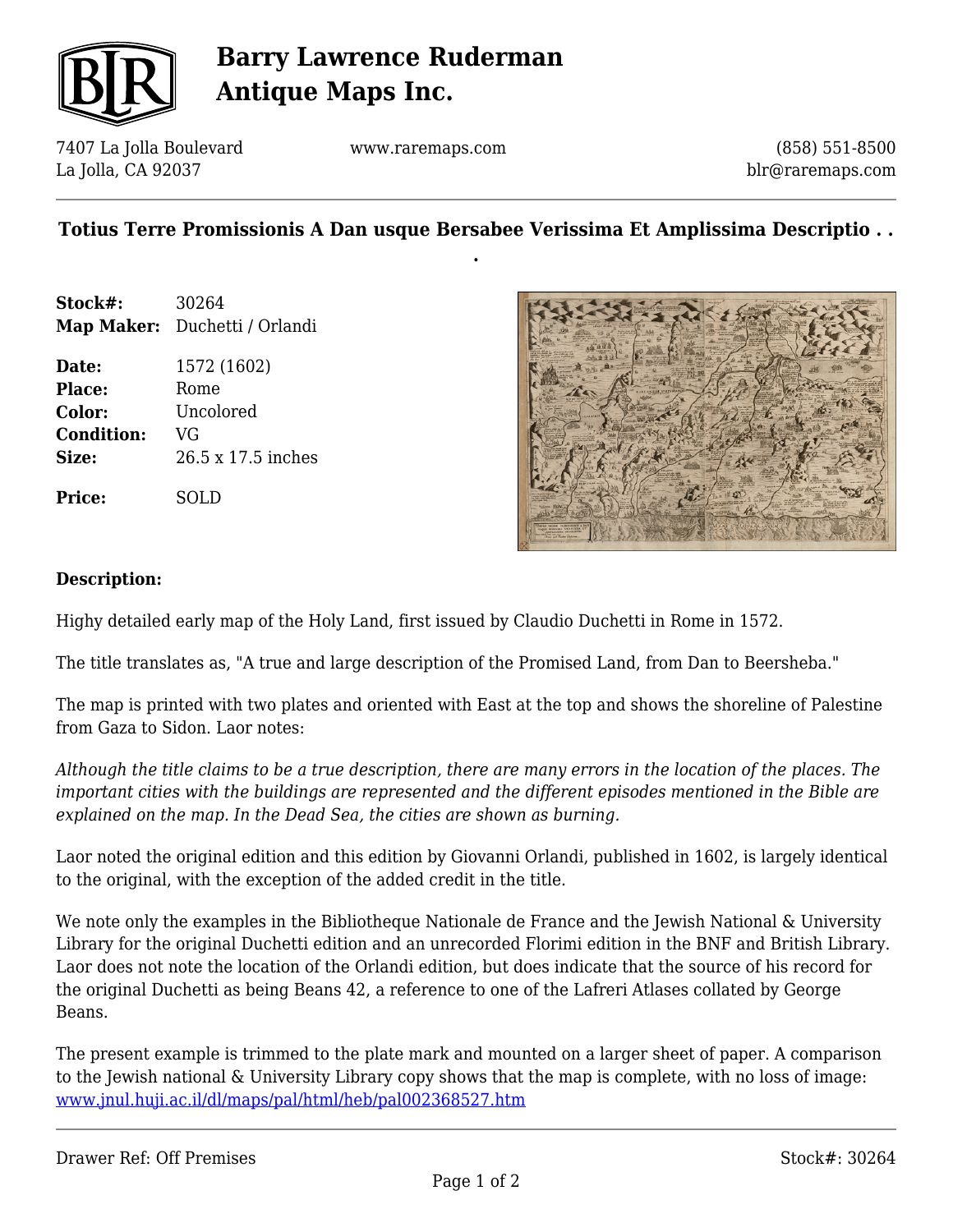

## **Barry Lawrence Ruderman Antique Maps Inc.**

7407 La Jolla Boulevard La Jolla, CA 92037

www.raremaps.com

(858) 551-8500 blr@raremaps.com

### **Totius Terre Promissionis A Dan usque Bersabee Verissima Et Amplissima Descriptio . . .**

**Stock#:** 30264 **Map Maker:** Duchetti / Orlandi

**Date:** 1572 (1602) Place: Rome **Color:** Uncolored **Condition:** VG **Size:** 26.5 x 17.5 inches

**Price:** SOLD



#### **Description:**

Highy detailed early map of the Holy Land, first issued by Claudio Duchetti in Rome in 1572.

The title translates as, "A true and large description of the Promised Land, from Dan to Beersheba."

The map is printed with two plates and oriented with East at the top and shows the shoreline of Palestine from Gaza to Sidon. Laor notes:

*Although the title claims to be a true description, there are many errors in the location of the places. The important cities with the buildings are represented and the different episodes mentioned in the Bible are explained on the map. In the Dead Sea, the cities are shown as burning.*

Laor noted the original edition and this edition by Giovanni Orlandi, published in 1602, is largely identical to the original, with the exception of the added credit in the title.

We note only the examples in the Bibliotheque Nationale de France and the Jewish National & University Library for the original Duchetti edition and an unrecorded Florimi edition in the BNF and British Library. Laor does not note the location of the Orlandi edition, but does indicate that the source of his record for the original Duchetti as being Beans 42, a reference to one of the Lafreri Atlases collated by George Beans.

The present example is trimmed to the plate mark and mounted on a larger sheet of paper. A comparison to the Jewish national & University Library copy shows that the map is complete, with no loss of image: [www.jnul.huji.ac.il/dl/maps/pal/html/heb/pal002368527.htm](http://www.jnul.huji.ac.il/dl/maps/pal/html/heb/pal002368527.htm)